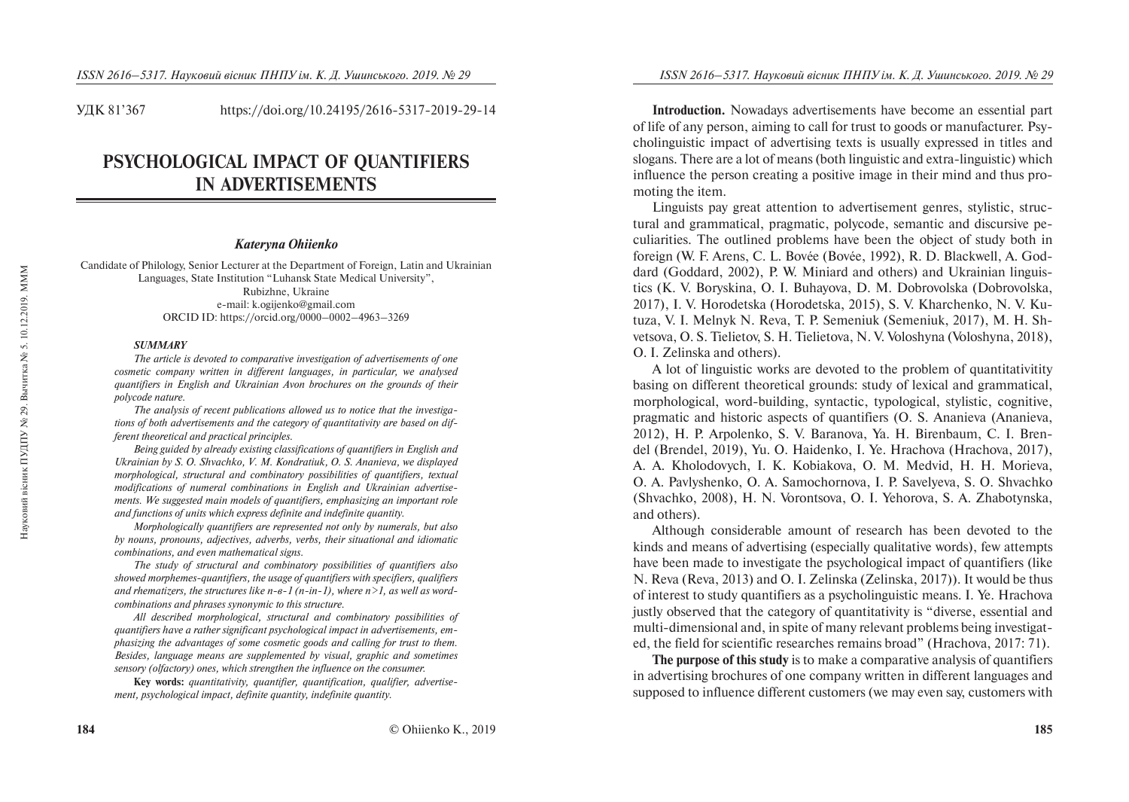УДК 81'367 https://doi.org/10.24195/2616-5317-2019-29-14

# **PSYCHOLOGICAL IMPACT OF QUANTIFIERS IN ADVERTISEMENTS**

## *Kateryna Ohiienko*

Candidate of Philology, Senior Lecturer at the Department of Foreign, Latin and Ukrainian Languages, State Institution "Luhansk State Medical University", Rubizhne, Ukraine e-mail: k.ogijenko@gmail.com ORCID ID: https://orcid.org/0000–0002–4963–3269

#### *SUMMARY*

*The article is devoted to comparative investigation of advertisements of one cosmetic company written in different languages, in particular, we analysed quantifiers in English and Ukrainian Avon brochures on the grounds of their polycode nature.* 

*The analysis of recent publications allowed us to notice that the investigations of both advertisements and the category of quantitativity are based on different theoretical and practical principles.* 

*Being guided by already existing classifications of quantifiers in English and Ukrainian by S. O. Shvachko, V. M. Kondratiuk, O. S. Ananieva, we displayed morphological, structural and combinatory possibilities of quantifiers, textual modifications of numeral combinations in English and Ukrainian advertisements. We suggested main models of quantifiers, emphasizing an important role and functions of units which express definite and indefinite quantity.* 

*Morphologically quantifiers are represented not only by numerals, but also by nouns, pronouns, adjectives, adverbs, verbs, their situational and idiomatic combinations, and even mathematical signs.* 

*The study of structural and combinatory possibilities of quantifiers also showed morphemes-quantifiers, the usage of quantifiers with specifiers, qualifiers*  and rhematizers, the structures like  $n - 6 - 1$  ( $n - in - 1$ ), where  $n \ge 1$ , as well as word*combinations and phrases synonymic to this structure.* 

*All described morphological, structural and combinatory possibilities of quantifiers have a rather significant psychological impact in advertisements, emphasizing the advantages of some cosmetic goods and calling for trust to them. Besides, language means are supplemented by visual, graphic and sometimes sensory (olfactory) ones, which strengthen the influence on the consumer.* 

**Key words:** *quantitativity, quantifier, quantification, qualifier, advertisement, psychological impact, definite quantity, indefinite quantity.* 

**Introduction.** Nowadays advertisements have become an essential part of life of any person, aiming to call for trust to goods or manufacturer. Psycholinguistic impact of advertising texts is usually expressed in titles and slogans. There are a lot of means (both linguistic and extra-linguistic) which influence the person creating a positive image in their mind and thus promoting the item.

Linguists pay great attention to advertisement genres, stylistic, structural and grammatical, pragmatic, polycode, semantic and discursive peculiarities. The outlined problems have been the object of study both in foreign (W. F. Arens, C. L. Bovée (Bovée, 1992), R. D. Blackwell, À. Goddard (Goddard, 2002), P. W. Miniard and others) and Ukrainian linguistics (K. V. Boryskina, O. I. Buhayova, D. M. Dobrovolska (Dobrovolska, 2017), I. V. Horodetska (Horodetska, 2015), S. V. Kharchenko, N. V. Kutuza, V. I. Melnyk N. Reva, T. P. Semeniuk (Semeniuk, 2017), M. H. Shvetsova, O. S. Tielietov, S. H. Tielietova, N. V. Voloshyna (Voloshyna, 2018), O. I. Zelinska and others).

A lot of linguistic works are devoted to the problem of quantitativitity basing on different theoretical grounds: study of lexical and grammatical, morphological, word-building, syntactic, typological, stylistic, cognitive, pragmatic and historic aspects of quantifiers (O. S. Ananieva (Ananieva, 2012), H. P. Arpolenko, S. V. Baranova, Ya. H. Birenbaum, C. I. Brendel (Brendel, 2019), Yu. O. Haidenko, I. Ye. Hrachova (Hrachova, 2017), A. A. Kholodovych, I. K. Kobiakova, O. M. Medvid, H. H. Morieva, O. A. Pavlyshenko, O. A. Samochornova, I. P. Savelyeva, S. O. Shvachko (Shvachko, 2008), H. N. Vorontsova, O. I. Yehorova, S. A. Zhabotynska, and others).

Although considerable amount of research has been devoted to the kinds and means of advertising (especially qualitative words), few attempts have been made to investigate the psychological impact of quantifiers (like N. Reva (Reva, 2013) and O. I. Zelinska (Zelinska, 2017)). It would be thus of interest to study quantifiers as a psycholinguistic means. I. Ye. Hrachova justly observed that the category of quantitativity is "diverse, essential and multi-dimensional and, in spite of many relevant problems being investigated, the field for scientific researches remains broad" (Hrachova, 2017: 71).

**The purpose of this study** is to make a comparative analysis of quantifiers in advertising brochures of one company written in different languages and supposed to influence different customers (we may even say, customers with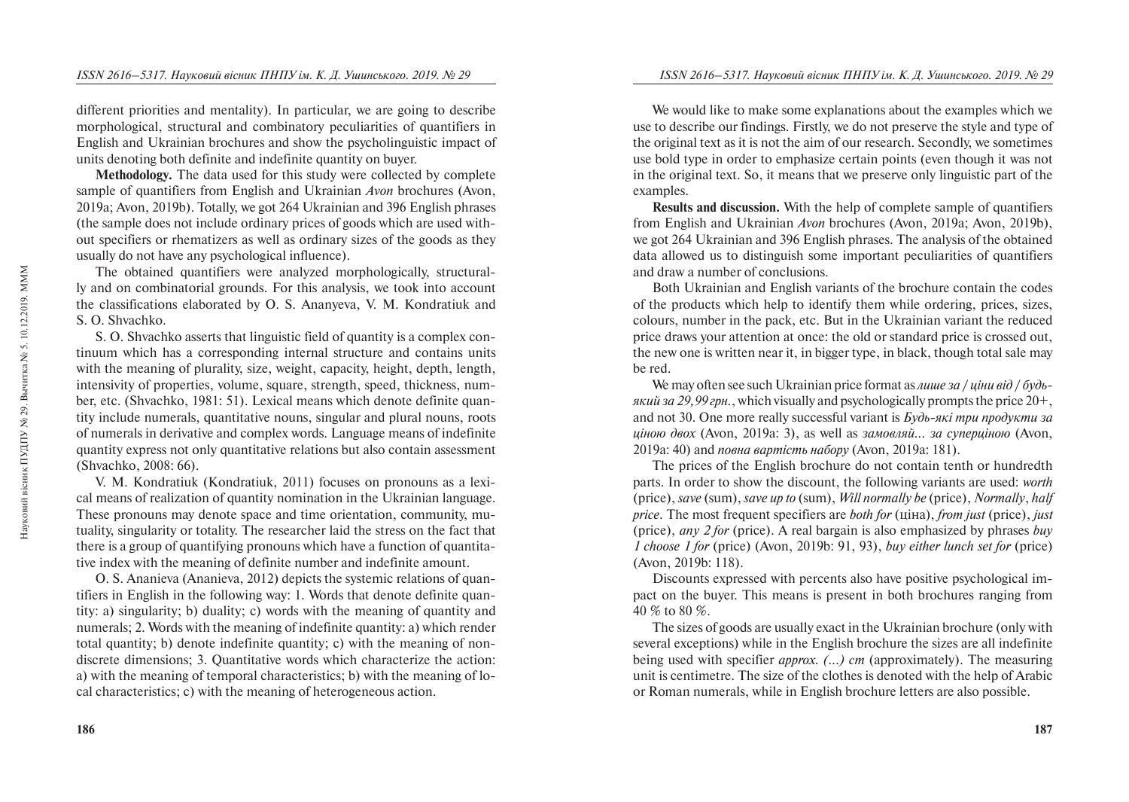different priorities and mentality). In particular, we are going to describe morphological, structural and combinatory peculiarities of quantifiers in English and Ukrainian brochures and show the psycholinguistic impact of units denoting both definite and indefinite quantity on buyer.

**Methodology.** The data used for this study were collected by complete sample of quantifiers from English and Ukrainian *Avon* brochures (Avon, 2019a; Avon, 2019b). Totally, we got 264 Ukrainian and 396 English phrases (the sample does not include ordinary prices of goods which are used without specifiers or rhematizers as well as ordinary sizes of the goods as they usually do not have any psychological influence).

The obtained quantifiers were analyzed morphologically, structurally and on combinatorial grounds. For this analysis, we took into account the classifications elaborated by O. S. Ananyeva, V. M. Kondratiuk and S. O. Shvachko.

S. O. Shvachko asserts that linguistic field of quantity is a complex continuum which has a corresponding internal structure and contains units with the meaning of plurality, size, weight, capacity, height, depth, length, intensivity of properties, volume, square, strength, speed, thickness, number, etc. (Shvachko, 1981: 51). Lexical means which denote definite quantity include numerals, quantitative nouns, singular and plural nouns, roots of numerals in derivative and complex words. Language means of indefinite quantity express not only quantitative relations but also contain assessment (Shvachko, 2008: 66).

V. M. Kondratiuk (Kondratiuk, 2011) focuses on pronouns as a lexical means of realization of quantity nomination in the Ukrainian language. These pronouns may denote space and time orientation, community, mutuality, singularity or totality. The researcher laid the stress on the fact that there is a group of quantifying pronouns which have a function of quantitative index with the meaning of definite number and indefinite amount.

O. S. Ananieva (Ananieva, 2012) depicts the systemic relations of quantifiers in English in the following way: 1. Words that denote definite quantity: a) singularity; b) duality; c) words with the meaning of quantity and numerals; 2. Words with the meaning of indefinite quantity: a) which render total quantity; b) denote indefinite quantity; c) with the meaning of nondiscrete dimensions; 3. Quantitative words which characterize the action: a) with the meaning of temporal characteristics; b) with the meaning of local characteristics; c) with the meaning of heterogeneous action.

We would like to make some explanations about the examples which we use to describe our findings. Firstly, we do not preserve the style and type of the original text as it is not the aim of our research. Secondly, we sometimes use bold type in order to emphasize certain points (even though it was not in the original text. So, it means that we preserve only linguistic part of the examples.

**Results and discussion.** With the help of complete sample of quantifiers from English and Ukrainian *Avon* brochures (Avon, 2019a; Avon, 2019b), we got 264 Ukrainian and 396 English phrases. The analysis of the obtained data allowed us to distinguish some important peculiarities of quantifiers and draw a number of conclusions.

Both Ukrainian and English variants of the brochure contain the codes of the products which help to identify them while ordering, prices, sizes, colours, number in the pack, etc. But in the Ukrainian variant the reduced price draws your attention at once: the old or standard price is crossed out, the new one is written near it, in bigger type, in black, though total sale may be red.

We may often see such Ukrainian price format as *aume za / uinu sid / bydb* $g(x)$  *g* $i$  *g* $i$  *zp* $j$  *eph.*, which visually and psychologically prompts the price  $20+$ , and not 30. One more really successful variant is *<i>Kydb-які три продукти за uiною двох* (Avon, 2019a: 3), as well as *замовляй... за суперціною* (Avon, 2019а: 40) and *повна вартість набору* (Avon, 2019а: 181).

The prices of the English brochure do not contain tenth or hundredth parts. In order to show the discount, the following variants are used: *worth* (price), *save* (sum), *save up to* (sum), *Will normally be* (price), *Normally*, *half price*. The most frequent specifiers are *both for* ( $\overline{u}$ *ina*), *from just* (price), *just* (price), *any 2 for* (price). A real bargain is also emphasized by phrases *buy 1 choose 1 for* (price) (Avon, 2019b: 91, 93), *buy either lunch set for* (price) (Avon, 2019b: 118).

Discounts expressed with percents also have positive psychological impact on the buyer. This means is present in both brochures ranging from 40 % to 80 %.

The sizes of goods are usually exact in the Ukrainian brochure (only with several exceptions) while in the English brochure the sizes are all indefinite being used with specifier *approx. (...) cm* (approximately). The measuring unit is centimetre. The size of the clothes is denoted with the help of Arabic or Roman numerals, while in English brochure letters are also possible.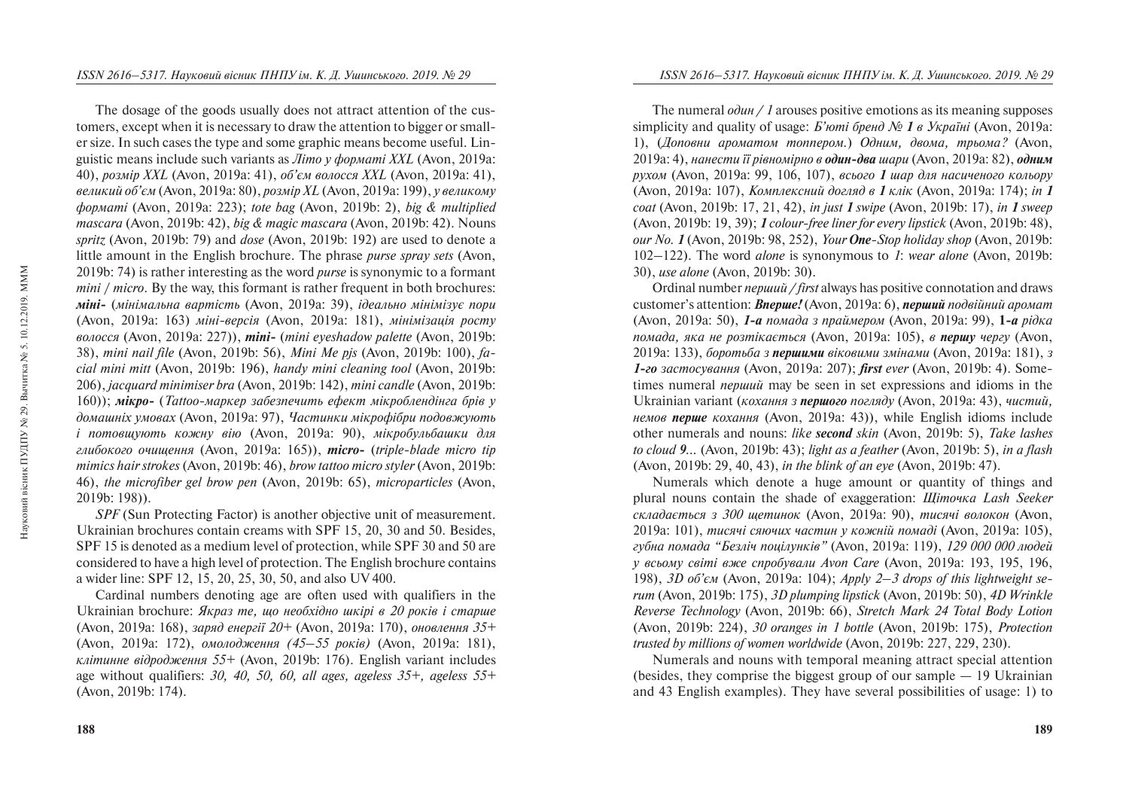The dosage of the goods usually does not attract attention of the customers, except when it is necessary to draw the attention to bigger or smaller size. In such cases the type and some graphic means become useful. Linguistic means include such variants as *Літо у форматі XXL* (Avon, 2019a: 40), розмір XXL (Avon, 2019a: 41), об'єм волосся XXL (Avon, 2019a: 41), *<i>ĝеликий об'єм* (Avon, 2019a: 80), розмір XL (Avon, 2019a: 199), у великому *ôîðìàò³* (Avon, 2019a: 223); *tote bàg* (Avon, 2019b: 2), *big & multiplied mascara* (Avon, 2019b: 42), *big & magic mascara* (Avon, 2019b: 42). Nouns *spritz* (Avon, 2019b: 79) and *dose* (Avon, 2019b: 192) are used to denote a little amount in the English brochure. The phrase *purse spray sets* (Avon, 2019b: 74) is rather interesting as the word *purse* is synonymic to a formant *mini / micro*. By the way, this formant is rather frequent in both brochures: **міні**- (мінімальна вартість (Avon, 2019a: 39), *ідеально мінімізує пори* (Avon, 2019a: 163) міні-версія (Avon, 2019a: 181), мініміз*ація росту âîëîññÿ* (Avon, 2019a: 227)), *mini-* (*mini eyeshadow palette* (Avon, 2019b: 38), *mini nail file* (Avon, 2019b: 56), *Mini Me pjs* (Avon, 2019b: 100), *facial mini mitt* (Avon, 2019b: 196), *handy mini cleaning tool* (Avon, 2019b: 206), *jacquard minimiser bra* (Avon, 2019b: 142), *mini candle* (Avon, 2019b: 160)); **мікро-** (*Tattoo-маркер забезпечить ефект мікроблендінга брів* у домашніх умовах (Avon, 2019a: 97), Частинки мікрофібри подовжують *i* потовщують кожну вію (Avon, 2019a: 90), мікробульбашки для *ãëèáîêîãî î÷èùåííÿ* (Avon, 2019a: 165)), *micro-* (*triple-blade micro tip mimics hair strokes* (Avon, 2019b: 46), *brow tattoo micro styler* (Avon, 2019b: 46), *the microfiber gel brow pen* (Avon, 2019b: 65), *microparticles* (Avon, 2019b: 198)).

*SPF* (Sun Protecting Factor) is another objective unit of measurement. Ukrainian brochures contain creams with SPF 15, 20, 30 and 50. Besides, SPF 15 is denoted as a medium level of protection, while SPF 30 and 50 are considered to have a high level of protection. The English brochure contains a wider line: SPF 12, 15, 20, 25, 30, 50, and also UV 400.

Cardinal numbers denoting age are often used with qualifiers in the Ukrainian brochure: *Якраз те, що необхідно шкірі в 20 років і старше* (Avon, 2019a: 168), *çàðÿä åíåð㳿 20+* (Avon, 2019a: 170), *îíîâëåííÿ 35+* (Avon, 2019a: 172), *омолодження (45–55 років)* (Avon, 2019a: 181), *êë³òèííå â³äðîäæåííÿ 55+* (Avon, 2019b: 176). English variant includes age without qualifiers: *30, 40, 50, 60, all ages, ageless 35+, ageless 55+* (Avon, 2019b: 174).

The numeral  $\omega \frac{\partial u}{\partial t}$  / 1 arouses positive emotions as its meaning supposes simplicity and quality of usage: *Б'юті бренд № 1 в Україні* (Avon, 2019a: 1), (*Äîïîâíè àðîìàòîì òîïïåðîì.*) *Îäíèì, äâîìà, òðüîìà?* (Avon, 2019a: 4), *íàíåñòè ¿¿ ð³âíîì³ðíî â îäèí-äâà øàðè* (Avon, 2019a: 82), *îäíèì рухом* (Avon, 2019a: 99, 106, 107), всього 1 шар для насиченого кольору (Avon, 2019a: 107), *Комплексний догляд в 1 клік* (Avon, 2019a: 174); *in 1 coat* (Avon, 2019b: 17, 21, 42), *in just 1 swipe* (Avon, 2019b: 17), *in 1 sweep* (Avon, 2019b: 19, 39); *1 colour-free liner for every lipstick* (Avon, 2019b: 48), *our No. 1* (Avon, 2019b: 98, 252), *Your One-Stop holiday shop* (Avon, 2019b: 102–122). The word *alone* is synonymous to *1*: *wear alone* (Avon, 2019b: 30), *use alone* (Avon, 2019b: 30).

Ordinal number *nepulu / first* always has positive connotation and draws customer's attention: *Bnepue!* (Avon, 2019a: 6), *перший подвійний аромат* (Avon, 2019a: 50), *1-à ïîìàäà ç ïðàéìåðîì* (Avon, 2019a: 99), **1***-à ð³äêà nомада, яка не розтікається* (Avon, 2019a: 105), *в першу чергу* (Avon, 2019a: 133), *áîðîòüáà ç ïåðøèìè â³êîâèìè çì³íàìè* (Avon, 2019a: 181), *ç 1-ãî çàñòîñóâàííÿ* (Avon, 2019a: 207); *first ever* (Avon, 2019b: 4). Sometimes numeral *nepuluu* may be seen in set expressions and idioms in the Ukrainian variant (*кохання з першого погляду* (Avon, 2019a: 43), *чистий*, *немов перше кохання* (Avon, 2019a: 43)), while English idioms include other numerals and nouns: *like second skin* (Avon, 2019b: 5), *Take lashes to cloud 9...* (Avon, 2019b: 43); *light as a feather* (Avon, 2019b: 5), *in a flash* (Avon, 2019b: 29, 40, 43), *in the blink of an eye* (Avon, 2019b: 47).

Numerals which denote a huge amount or quantity of things and plural nouns contain the shade of exaggeration: *Шіточка Lash Seeker складається з 300 шетинок* (Avon, 2019a: 90), *тисячі волокон* (Avon, 2019a: 101), *òèñÿ÷³ ñÿþ÷èõ ÷àñòèí ó êîæí³é ïîìàä³* (Avon, 2019a: 105), *губна помада "Безліч поцілунків"* (Avon, 2019a: 119), *129 000 000 людей ó âñüîìó ñâ³ò³ âæå ñïðîáóâàëè Avon Care* (Avon, 2019a: 193, 195, 196, 198), *3D îá'ºì* (Avon, 2019a: 104); *Apply 2–3 drops of this lightweight serum* (Avon, 2019b: 175), *3D plumping lipstick* (Avon, 2019b: 50), *4D Wrinkle Reverse Technology* (Avon, 2019b: 66), *Stretch Mark 24 Total Body Lotion* (Avon, 2019b: 224), *30 oranges in 1 bottle* (Avon, 2019b: 175), *Protection trusted by millions of women worldwide* (Avon, 2019b: 227, 229, 230).

Numerals and nouns with temporal meaning attract special attention (besides, they comprise the biggest group of our sample  $-19$  Ukrainian and 43 English examples). They have several possibilities of usage: 1) to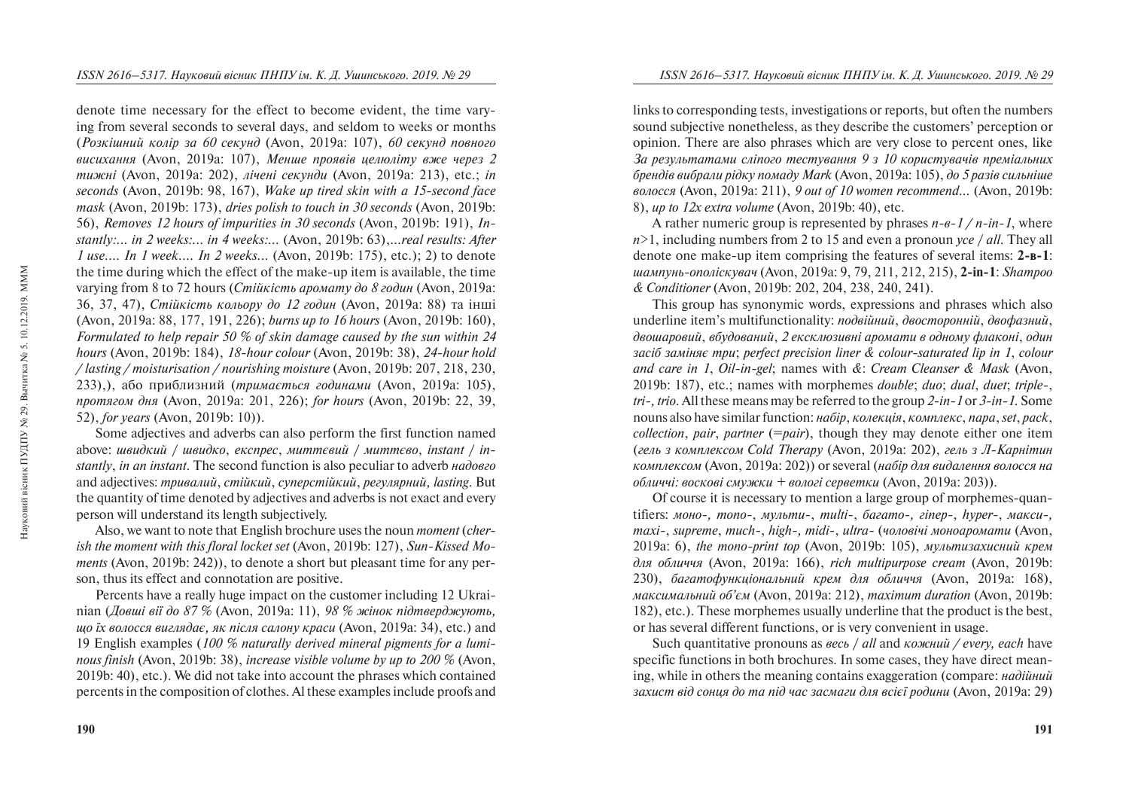denote time necessary for the effect to become evident, the time varying from several seconds to several days, and seldom to weeks or months (Розкішний колір за 60 секунд (Avon, 2019a; 107), 60 секунд повного *ансихання (Avon, 2019a: 107), Менше проявів целюліту вже через 2 muжні* (Avon, 2019a: 202), *лічені секунди* (Avon, 2019a: 213), etc.; *in seconds* (Avon, 2019b: 98, 167), *Wake up tired skin with a 15-second face mask* (Avon, 2019b: 173), *dries polish to touch in 30 seconds* (Avon, 2019b: 56), *Removes 12 hours of impurities in 30 seconds* (Avon, 2019b: 191), *Instantly:... in 2 weeks:... in 4 weeks:...* (Avon, 2019b: 63),.*..real results: After 1 use.... In 1 week.... In 2 weeks...* (Avon, 2019b: 175), etc.); 2) to denote the time during which the effect of the make-up item is available, the time varying from 8 to 72 hours (*Стійкість аромату до 8 годин* (Avon, 2019a: 36, 37, 47), *Стійкість кольору до 12 годин* (Avon, 2019a: 88) та інші (Avon, 2019a: 88, 177, 191, 226); *burns up to 16 hours* (Avon, 2019b: 160), *Formulated to help repair 50 % of skin damage caused by the sun within 24 hours* (Avon, 2019b: 184), *18-hour colour* (Avon, 2019b: 38), *24-hour hold / lasting / moisturisation / nourishing moisture* (Avon, 2019b: 207, 218, 230, 233),), àáî ïðèáëèçíèé (*òðèìàºòüñÿ ãîäèíàìè* (Avon, 2019a: 105), *ïðîòÿãîì äíÿ* (Avon, 2019a: 201, 226); *for hours* (Avon, 2019b: 22, 39, 52), *for years* (Avon, 2019b: 10)).

Some adjectives and adverbs can also perform the first function named above: *øâèäêèé* / *øâèäêî*, *åêñïðåñ*, *ìèòòºâèé* / *ìèòòºâî*, *instant* / *instantly*, *in an instant*. The second function is also peculiar to adverb *íàäîâãî*  and adjectives: *òðèâàëèé*, *ñò³éêèé*, *ñóïåðñò³éêèé*, *ðåãóëÿðíèé, lasting*. But the quantity of time denoted by adjectives and adverbs is not exact and every person will understand its length subjectively.

Also, we want to note that English brochure uses the noun *moment* (*cherish the moment with this floral locket set* (Avon, 2019b: 127), *Sun-Kissed Moments* (Avon, 2019b: 242)), to denote a short but pleasant time for any person, thus its effect and connotation are positive.

Percents have a really huge impact on the customer including 12 Ukrainian (*Довші вії до 87 %* (Avon, 2019a: 11), *98 % жінок підтверджують*, *ùî ¿õ âîëîññÿ âèãëÿäàº, ÿê ï³ñëÿ ñàëîíó êðàñè* (Avon, 2019a: 34), etc.) and 19 English examples (*100 % naturally derived mineral pigments for a luminous finish* (Avon, 2019b: 38), *increase visible volume by up to 200 %* (Avon, 2019b: 40), etc.). We did not take into account the phrases which contained percents in the composition of clothes. Al these examples include proofs and links to corresponding tests, investigations or reports, but often the numbers sound subjective nonetheless, as they describe the customers' perception or opinion. There are also phrases which are very close to percent ones, like *Çà ðåçóëüòàòàìè ñë³ïîãî òåñòóâàííÿ 9 ç 10 êîðèñòóâà÷³â ïðåì³àëüíèõ брендів вибрали рідку помаду Mark* (Avon, 2019a: 105), *до 5 разів сильніше âîëîññÿ* (Avon, 2019a: 211), *9 out of 10 women recommend...* (Avon, 2019b: 8), *up to 12x extra volume* (Avon, 2019b: 40), etc.

A rather numeric group is represented by phrases  $n-e-1/n-in-1$ , where  $n \geq 1$ , including numbers from 2 to 15 and even a pronoun *vce / all*. They all denote one make-up item comprising the features of several items: 2-B-1: *øàìïóíü-îïîë³ñêóâà÷* (Avon, 2019a: 9, 79, 211, 212, 215), **2-in-1**: *Shampoo & Conditioner* (Avon, 2019b: 202, 204, 238, 240, 241).

This group has synonymic words, expressions and phrases which also underline item's multifunctionality: подвійний, двосторонній, двофазний, двошаровий, вбудований, 2 ексклюзивні аромати в одному флаконі, один *çàñ³á çàì³íÿº òðè*; *perfect precision liner & colour-saturated lip in 1*, *colour and care in 1*, *Oil-in-gel*; names with *&*: *Cream Cleanser & Mask* (Avon, 2019b: 187), etc.; names with morphemes *double*; *duo*; *dual*, *duet*; *triple-*, *tri-, trio*. All these means may be referred to the group *2-in-1* or *3-in-1.* Some nouns also have similar function: *íàá³ð*, *êîëåêö³ÿ*, *êîìïëåêñ*, *ïàðà*, *set*, *pack*, *collection*, *pair*, *partner* (=*pair*), though they may denote either one item (*гель з комплексом Cold Therapy* (Avon, 2019a: 202), *гель з Л-Карнітин*  $k$ *омплексом (Avon, 2019a: 202)) or several (набір для видалення волосся на обличчі: воскові смужки* + *вологі серветки* (Avon, 2019a: 203)).

Of course it is necessary to mention a large group of morphemes-quantifiers:  $m$ <sup>o</sup> *mono*-,  $m$ *numu*-,  $m$ ulti-,  $6$ *a* $2$ *amo*-,  $2$ *inep-*,  $h$ *yper-*,  $M$ *a* $K$ *cu*-, *maxi-*, *supreme*, *much-*, *high-, midi*-, *ultra-* (*÷îëîâ³÷³ ìîíîàðîìàòè* (Avon, 2019a: 6), *the mono-print top* (Avon, 2019b: 105), *мультизахисний крем äëÿ îáëè÷÷ÿ* (Avon, 2019a: 166), *rich multipurpose cream* (Avon, 2019b: 230), *багатофункціональний крем для обличчя* (Avon, 2019a: 168), *ìàêñèìàëüíèé îá'ºì* (Avon, 2019a: 212), *maximum duration* (Avon, 2019b: 182), etc.). These morphemes usually underline that the product is the best, or has several different functions, or is very convenient in usage.

Such quantitative pronouns as  $\alpha$ *<sup>i</sup> all* and *ko ko i all j every, each* have specific functions in both brochures. In some cases, they have direct meaning, while in others the meaning contains exaggeration (compare: *Hadiúhuu çàõèñò â³ä ñîíöÿ äî òà ï³ä ÷àñ çàñìàãè äëÿ âñ³º¿ ðîäèíè* (Avon, 2019a: 29)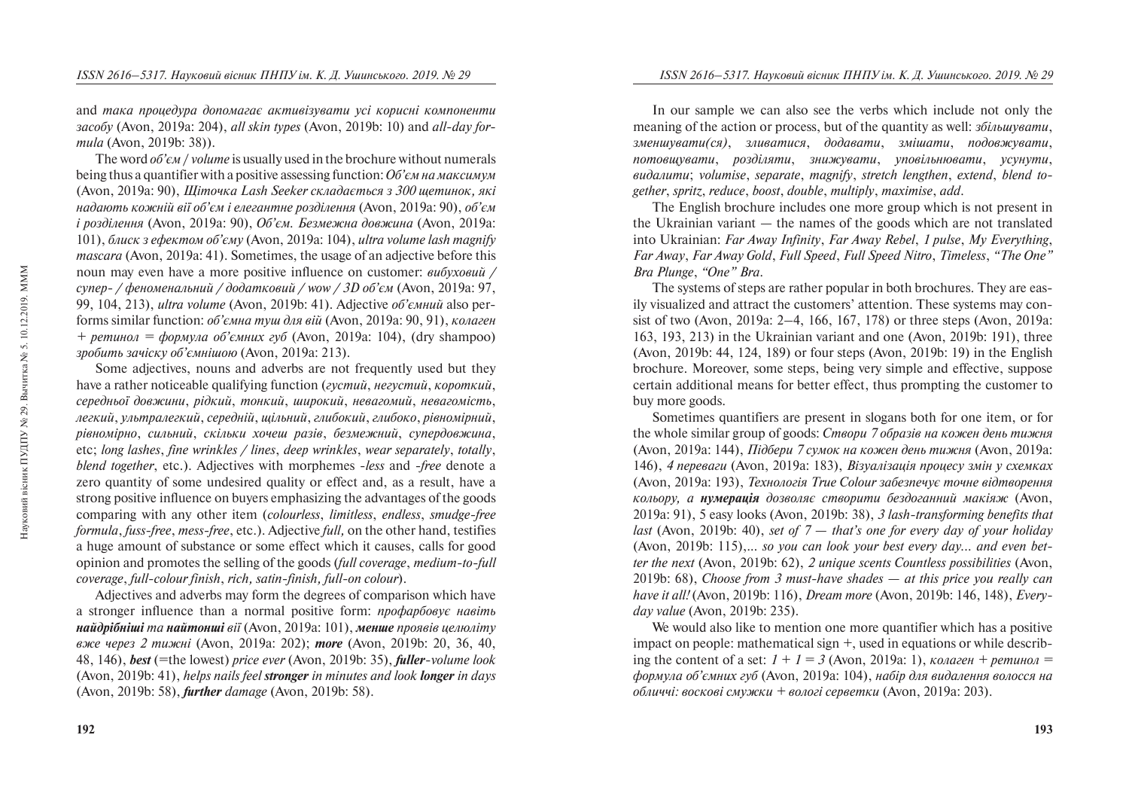and *така процедура допомагає активізувати усі корисні компоненти çàñîáó* (Avon, 2019a: 204), *all skin types* (Avon, 2019b: 10) and *all-day formula* (Avon, 2019b: 38)).

The word  $\omega \delta' e \omega /$  *volume* is usually used in the brochure without numerals being thus a quantifier with a positive assessing function: *O6'єм на максимум* (Avon, 2019a: 90), *Шіточка Lash Seeker складається з 300 щетинок*, які *надають кожній вії об'єм і елегантне розділення (Avon, 2019a: 90), об'єм i* розділення (Avon, 2019a; 90), *Об'єм, Безмежна довжина* (Avon, 2019a; 101), *áëèñê ç åôåêòîì îá'ºìó* (Avon, 2019a: 104), *ultra volume lash magnify mascara* (Avon, 2019a: 41). Sometimes, the usage of an adjective before this noun may even have a more positive influence on customer: *вибуховий* / *ñóïåð- / ôåíîìåíàëüíèé / äîäàòêîâèé / wow / 3D îá'ºì* (Avon, 2019a: 97, 99, 104, 213), *ultra volume* (Avon, 2019b: 41). Adjective *of'ємний* also performs similar function: *об'ємна туш для вій* (Avon, 2019a: 90, 91), *колаген*  $+$  *pemunon* =  $\phi$ *opmyna ob'emunx ey* (Avon, 2019a: 104), (dry shampoo) *çðîáèòü çà÷³ñêó îá'ºìí³øîþ* (Avon, 2019a: 213).

Some adjectives, nouns and adverbs are not frequently used but they have a rather noticeable qualifying function (*avcmuŭ*, *негустий*, *короткий*, *ñåðåäíüî¿ äîâæèíè*, *ð³äêèé*, *òîíêèé*, *øèðîêèé*, *íåâàãîìèé*, *íåâàãîì³ñòü*, *ëåãêèé*, *óëüòðàëåãêèé*, *ñåðåäí³é*, *ù³ëüíèé*, *ãëèáîêèé*, *ãëèáîêî*, *ð³âíîì³ðíèé*, *ð³âíîì³ðíî*, *ñèëüíèé*, *ñê³ëüêè õî÷åø ðàç³â*, *áåçìåæíèé*, *ñóïåðäîâæèíà*, etc; *long lashes*, *fine wrinkles / lines*, *deep wrinkles*, *wear separately*, *totally*, *blend together*, etc.). Adjectives with morphemes -*less* and -*free* denote a zero quantity of some undesired quality or effect and, as a result, have a strong positive influence on buyers emphasizing the advantages of the goods comparing with any other item (*colourless*, *limitless*, *endless*, *smudge-free formula*, *fuss-free*, *mess-free*, etc.). Adjective *full,* on the other hand, testifies a huge amount of substance or some effect which it causes, calls for good opinion and promotes the selling of the goods (*full coverage*, *medium-to-full coverage*, *full-colour finish*, *rich, satin-finish, full-on colour*).

Adjectives and adverbs may form the degrees of comparison which have a stronger influence than a normal positive form: *npodapboeye навіть найдрібніші та найтонші вії* (Avon, 2019a: 101), менше проявів целюліту *âæå ÷åðåç 2 òèæí³* (Avon, 2019a: 202); *more* (Avon, 2019b: 20, 36, 40, 48, 146), *best* (=the lowest) *price ever* (Avon, 2019b: 35), *fuller-volume look* (Avon, 2019b: 41), *helps nails feel stronger in minutes and look longer in days* (Avon, 2019b: 58), *further damage* (Avon, 2019b: 58).

In our sample we can also see the verbs which include not only the meaning of the action or process, but of the quantity as well:  $36i$ *hbuveamu*,  $\alpha$ <sup>3</sup> *зайобайий зайинися, додавати, змішати, подовжувати, потовшувати, розділяти, знижувати, уповільнювати, усунути, âèäàëèòè*; *volumise*, *separate*, *magnify*, *stretch lengthen*, *extend*, *blend together*, *spritz*, *reduce*, *boost*, *double*, *multiply*, *maximise*, *add*.

The English brochure includes one more group which is not present in the Ukrainian variant — the names of the goods which are not translated into Ukrainian: *Far Away Infinity*, *Far Away Rebel*, *1 pulse*, *My Everything*, *Far Away*, *Far Away Gold*, *Full Speed*, *Full Speed Nitro*, *Timeless*, *"The One" Bra Plunge*, *"One" Bra*.

The systems of steps are rather popular in both brochures. They are easily visualized and attract the customers' attention. These systems may consist of two (Avon, 2019a: 2–4, 166, 167, 178) or three steps (Avon, 2019a: 163, 193, 213) in the Ukrainian variant and one (Avon, 2019b: 191), three (Avon, 2019b: 44, 124, 189) or four steps (Avon, 2019b: 19) in the English brochure. Moreover, some steps, being very simple and effective, suppose certain additional means for better effect, thus prompting the customer to buy more goods.

Sometimes quantifiers are present in slogans both for one item, or for the whole similar group of goods: *Створи 7 образів на кожен день тижня* (Avon, 2019a: 144), *ϳäáåðè 7 ñóìîê íà êîæåí äåíü òèæíÿ* (Avon, 2019a: 146), *4 переваги (Avon, 2019a: 183), Візуалізація процесу змін у схемках* (Avon, 2019a: 193), *Технологія True Colour забезпечує точне відтворення кольору, а <b>нумерація дозволяє створити бездоганний макіяж (Avon,* 2019a: 91), 5 easy looks (Avon, 2019b: 38), *3 lash-transforming benefits that last* (Avon, 2019b: 40), *set of 7 — that's one for every day of your holiday* (Avon, 2019b: 115),.*.. so you can look your best every day... and even better the next* (Avon, 2019b: 62), *2 unique scents Countless possibilities* (Avon, 2019b: 68), *Choose from 3 must-have shades — at this price you really can have it all!* (Avon, 2019b: 116), *Dream more* (Avon, 2019b: 146, 148), *Everyday value* (Avon, 2019b: 235).

We would also like to mention one more quantifier which has a positive impact on people: mathematical sign *+*, used in equations or while describing the content of a set:  $I + I = 3$  (Avon, 2019a: 1), *Konazen* + *pemunon* = *формула об'ємних губ* (Avon, 2019a: 104), набір для видалення волосся на *<i>обличчі: воскові смужки* + вологі серветки (Avon, 2019a: 203).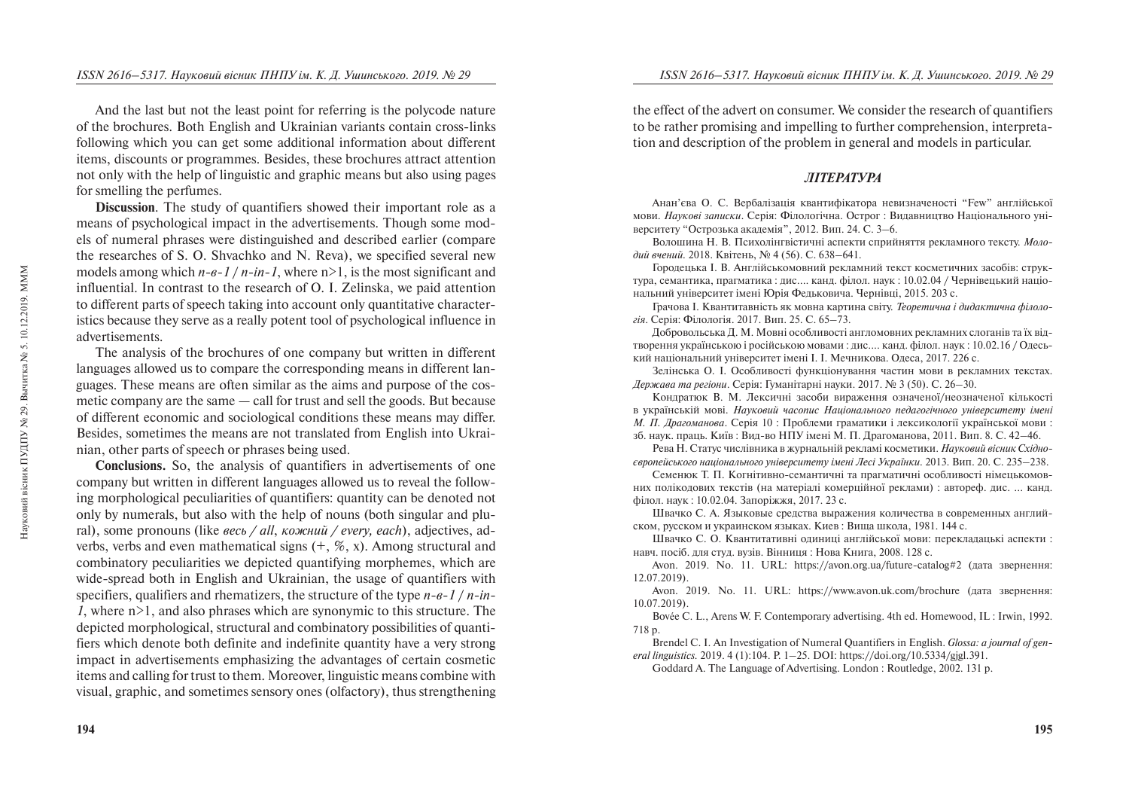And the last but not the least point for referring is the polycode nature of the brochures. Both English and Ukrainian variants contain cross-links following which you can get some additional information about different items, discounts or programmes. Besides, these brochures attract attention not only with the help of linguistic and graphic means but also using pages for smelling the perfumes.

**Discussion**. The study of quantifiers showed their important role as a means of psychological impact in the advertisements. Though some models of numeral phrases were distinguished and described earlier (compare the researches of S. O. Shvachko and N. Reva), we specified several new models among which  $n-e-1/n-in-1$ , where  $n>1$ , is the most significant and influential. In contrast to the research of O. I. Zelinska, we paid attention to different parts of speech taking into account only quantitative characteristics because they serve as a really potent tool of psychological influence in advertisements.

The analysis of the brochures of one company but written in different languages allowed us to compare the corresponding means in different languages. These means are often similar as the aims and purpose of the cosmetic company are the same — call for trust and sell the goods. But because of different economic and sociological conditions these means may differ. Besides, sometimes the means are not translated from English into Ukrainian, other parts of speech or phrases being used.

**Conclusions.** So, the analysis of quantifiers in advertisements of one company but written in different languages allowed us to reveal the following morphological peculiarities of quantifiers: quantity can be denoted not only by numerals, but also with the help of nouns (both singular and plural), some pronouns (like *весь / all*, *кожний / every, each*), adjectives, adverbs, verbs and even mathematical signs  $(+, \mathcal{X}, x)$ . Among structural and combinatory peculiarities we depicted quantifying morphemes, which are wide-spread both in English and Ukrainian, the usage of quantifiers with specifiers, qualifiers and rhematizers, the structure of the type *n*-*e*-1 / *n*-in-*1*, where n>1, and also phrases which are synonymic to this structure. The depicted morphological, structural and combinatory possibilities of quantifiers which denote both definite and indefinite quantity have a very strong impact in advertisements emphasizing the advantages of certain cosmetic items and calling for trust to them. Moreover, linguistic means combine with visual, graphic, and sometimes sensory ones (olfactory), thus strengthening the effect of the advert on consumer. We consider the research of quantifiers to be rather promising and impelling to further comprehension, interpretation and description of the problem in general and models in particular.

# **JIITEPATYPA**

Анан'єва О. С. Вербалізація квантифікатора невизначеності "Few" англійської мови. *Наукові записки*. Серія: Філологічна. Острог : Видавництво Національного університету "Острозька акалемія", 2012. Вип. 24. С. 3–6.

Волошина Н. В. Психолінгвістичні аспекти сприйняття рекламного тексту. *Моло*дий вчений. 2018. Квітень, № 4 (56). С. 638–641.

Городецька І. В. Англійськомовний рекламний текст косметичних засобів: структура, семантика, прагматика : дис.... канд. філол. наук : 10.02.04 / Чернівецький національний університет імені Юрія Фельковича. Чернівці, 2015. 203 с.

Грачова I. Квантитавність як мовна картина світу. *Теоретична і дидактична філологія*. Серія: Філологія. 2017. Вип. 25. С. 65–73.

Добровольська Д. М. Мовні особливості англомовних рекламних слоганів та їх відтворення українською і російською мовами : дис.... канд. філол. наук : 10.02.16 / Одеський національний університет імені І. І. Мечникова. Олеса. 2017. 226 с.

Зелінська О. І. Особливості функціонування частин мови в рекламних текстах. *Держава та регіони*. Серія: Гуманітарні науки. 2017. № 3 (50). С. 26–30.

Кондратюк В. М. Лексичні засоби вираження означеної/неозначеної кількості â óêðà¿íñüê³é ìîâ³. *Íàóêîâèé ÷àñîïèñ Íàö³îíàëüíîãî ïåäàãîã³÷íîãî óí³âåðñèòåòó ³ìåí³ М. П. Драгоманова*. Серія 10 : Проблеми граматики і лексикології української мови :  $36.$  наук. праць. Київ: Вил-во НПУ імені М. П. Лрагоманова, 2011. Вип. 8. С. 42–46.

Рева Н. Статус числівника в журнальній рекламі косметики. Науковий вісник Східно-*ºâðîïåéñüêîãî íàö³îíàëüíîãî óí³âåðñèòåòó ³ìåí³ Ëåñ³ Óêðà¿íêè.* 2013. Âèï. 20. Ñ. 235–238.

Семенюк Т. П. Когнітивно-семантичні та прагматичні особливості німецькомовних полікодових текстів (на матеріалі комерційної реклами) : автореф. дис. ... канд. філол. наук: 10.02.04. Запоріжжя, 2017. 23 с.

Швачко С. А. Языковые средства выражения количества в современных английском, русском и украинском языках. Киев: Вища школа, 1981. 144 с.

Швачко С. О. Квантитативні одиниці англійської мови: перекладацькі аспекти: навч. посіб. для стул. вузів. Вінниця : Нова Книга, 2008. 128 с.

Avon. 2019. No. 11. URL: https://avon.org.ua/future-catalog#2 (дата звернення: 12.07.2019).

Avon. 2019. No. 11. URL: https://www.avon.uk.com/brochure (дата звернення: 10.07.2019).

Bovée C. L., Arens W. F. Contemporary advertising. 4th ed. Homewood, IL : Irwin, 1992. 718 p.

Brendel C. I. An Investigation of Numeral Quantifiers in English. *Glossa: a journal of general linguistics.* 2019. 4 (1):104. P. 1–25. DOI: https://doi.org/10.5334/gjgl.391.

Goddard A. The Language of Advertising. London : Routledge, 2002. 131 p.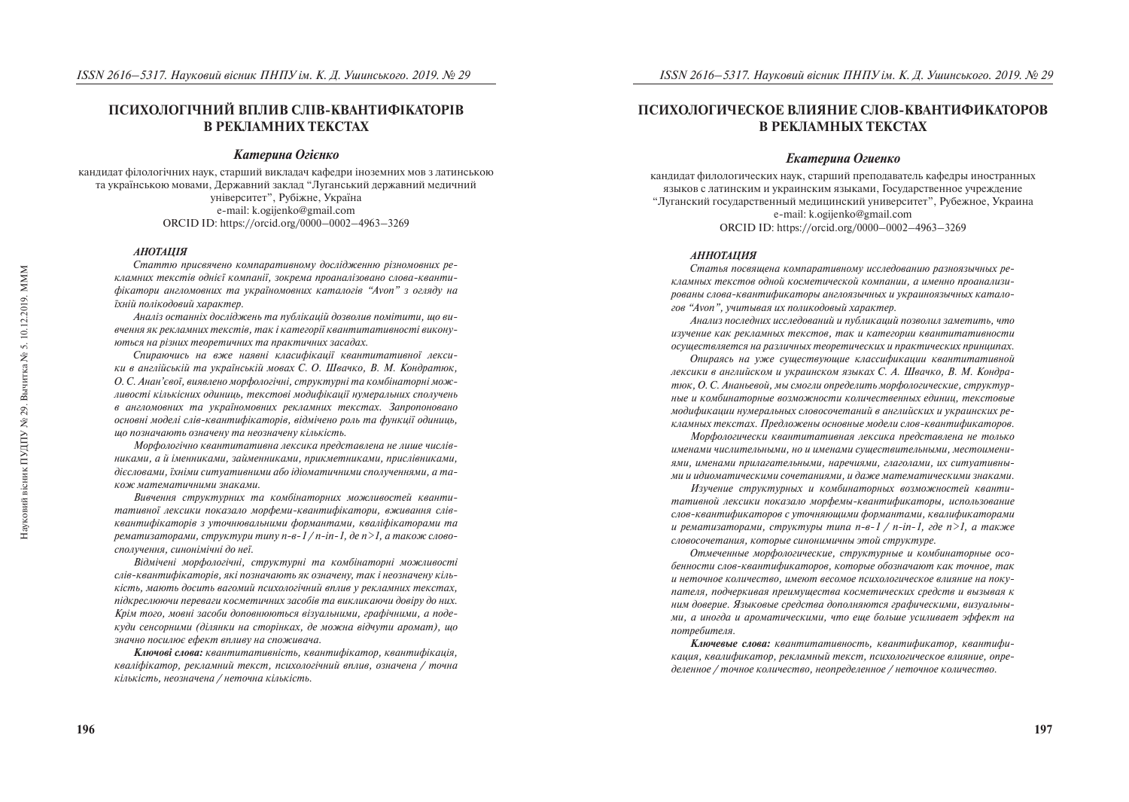Науковий вісник ПУДПУ № 29. Вычитка № 5. 10.12.2019. МММ

Науковий вісник ПУДПУ № 29.

Вычитка № 5.

10.12.2019. MMM

# ПСИХОЛОГІЧНИЙ ВПЛИВ СЛІВ-КВАНТИФІКАТОРІВ *B PEKJIAMHUX TEKCTAX*

## **Катерина Огієнко**

кандидат філологічних наук, старший викладач кафедри іноземних мов з латинською та українською мовами, Державний заклад "Луганський державний медичний університет", Рубіжне, Україна e-mail: k.ogijenko@gmail.com ORCID ID: https://orcid.org/0000–0002–4963–3269

#### *ÀÍÎÒÀÖ²ß*

Статтю присвячено компаративному дослідженню різномовних ре*кламних текстів однієї компанії, зокрема проаналізовано слова-кванти*фікатори англомовних та україномовних каталогів "Avon" з огляду на *їхній полікодовий характер.* 

Аналіз останніх досліджень та публікацій дозволив помітити, що вивчення як рекламних текстів, так і категорії квантитативності викону*ються на різних теоретичних та практичних засадах.* 

Спираючись на вже наявні класифікації квантитативної лекси- $\kappa u$  в англійській та українській мовах С. О. Швачко, В. М. Кондратюк, О. С. Анан'євої, виявлено морфологічні, структурні та комбінаторні мож*ëèâîñò³ ê³ëüê³ñíèõ îäèíèöü, òåêñòîâ³ ìîäèô³êàö³¿ íóìåðàëüíèõ ñïîëó÷åíü â àíãëîìîâíèõ òà óêðà¿íîìîâíèõ ðåêëàìíèõ òåêñòàõ. Çàïðîïîíîâàíî основні моделі слів-квантифікаторів, відмічено роль та функції одиниць, ùî ïîçíà÷àþòü îçíà÷åíó òà íåîçíà÷åíó ê³ëüê³ñòü.* 

*Ìîðôîëîã³÷íî êâàíòèòàòèâíà ëåêñèêà ïðåäñòàâëåíà íå ëèøå ÷èñë³âниками, а й іменниками, займенниками, прикметниками, прислівниками,* дієсловами, їхніми ситуативними або ідіоматичними сполученнями, а та*êîæ ìàòåìàòè÷íèìè çíàêàìè.* 

Вивчення структурних та комбінаторних можливостей кванти*ративної лексики показало морфеми-квантифікатори, вживання слівêâàíòèô³êàòîð³â ç óòî÷íþâàëüíèìè ôîðìàíòàìè, êâàë³ô³êàòîðàìè òà*   $p$ ематизаторами, структури типу n-в-1 / n-in-1, де n >1, а також словосполучення, синонімічні до неї.

Відмічені морфологічні, структурні та комбінаторні можливості *ñë³â-êâàíòèô³êàòîð³â, ÿê³ ïîçíà÷àþòü ÿê îçíà÷åíó, òàê ³ íåîçíà÷åíó ê³ëüê³ñòü, ìàþòü äîñèòü âàãîìèé ïñèõîëîã³÷íèé âïëèâ ó ðåêëàìíèõ òåêñòàõ,*  лідкреслюючи переваги косметичних засобів та викликаючи довіру до них. Крім того, мовні засоби доповнюються візуальними, графічними, а поде*êóäè ñåíñîðíèìè (ä³ëÿíêè íà ñòîð³íêàõ, äå ìîæíà â³ä÷óòè àðîìàò), ùî*  значно посилює ефект впливу на споживача.

*Êëþ÷îâ³ ñëîâà: êâàíòèòàòèâí³ñòü, êâàíòèô³êàòîð, êâàíòèô³êàö³ÿ, êâàë³ô³êàòîð, ðåêëàìíèé òåêñò, ïñèõîëîã³÷íèé âïëèâ, îçíà÷åíà / òî÷íà кількість, неозначена / неточна кількість.* 

# ПСИХОЛОГИЧЕСКОЕ ВЛИЯНИЕ СЛОВ-КВАНТИФИКАТОРОВ **В РЕКЛАМНЫХ ТЕКСТАХ**

### *Екатерина Огиенко*

кандидат филологических наук, старший преподаватель кафедры иностранных языков с латинским и украинским языками. Государственное учреждение "Луганский госуларственный мелицинский университет", Рубежное, Украина e-mail: k.ogijenko@gmail.com ORCID ID: https://orcid.org/0000–0002–4963–3269

#### *АННОТАЦИЯ*

Статья посвящена компаративному исследованию разноязычных рекламных текстов одной косметической компании, а именно проанализи*ðîâàíû ñëîâà-êâàíòèôèêàòîðû àíãëîÿçû÷íûõ è óêðàèíîÿçû÷íûõ êàòàëî*гов "Avon", учитывая их поликодовый характер.

*Àíàëèç ïîñëåäíèõ èññëåäîâàíèé è ïóáëèêàöèé ïîçâîëèë çàìåòèòü, ÷òî èçó÷åíèå êàê ðåêëàìíûõ òåêñòîâ, òàê è êàòåãîðèè êâàíòèòàòèâíîñòè îñóùåñòâëÿåòñÿ íà ðàçëè÷íûõ òåîðåòè÷åñêèõ è ïðàêòè÷åñêèõ ïðèíöèïàõ.* 

*Îïèðàÿñü íà óæå ñóùåñòâóþùèå êëàññèôèêàöèè êâàíòèòàòèâíîé*  лексики в английском и украинском языках С. А. Швачко, В. М. Кондратюк, О. С. Ананьевой, мы смогли определить морфологические, структур*íûå è êîìáèíàòîðíûå âîçìîæíîñòè êîëè÷åñòâåííûõ åäèíèö, òåêñòîâûå ìîäèôèêàöèè íóìåðàëüíûõ ñëîâîñî÷åòàíèé â àíãëèéñêèõ è óêðàèíñêèõ ðåêëàìíûõ òåêñòàõ. Ïðåäëîæåíû îñíîâíûå ìîäåëè ñëîâ-êâàíòèôèêàòîðîâ.* 

*Ìîðôîëîãè÷åñêè êâàíòèòàòèâíàÿ ëåêñèêà ïðåäñòàâëåíà íå òîëüêî*  именами числительными, но и именами существительными, местоимениями, именами прилагательными, наречиями, глаголами, их ситуативны*ìè è èäèîìàòè÷åñêèìè ñî÷åòàíèÿìè, è äàæå ìàòåìàòè÷åñêèìè çíàêàìè.* 

Изучение структурных и комбинаторных возможностей кванти*òàòèâíîé ëåêñèêè ïîêàçàëî ìîðôåìû-êâàíòèôèêàòîðû, èñïîëüçîâàíèå ñëîâ-êâàíòèôèêàòîðîâ ñ óòî÷íÿþùèìè ôîðìàíòàìè, êâàëèôèêàòîðàìè*   $\mu$  *pemamusamopamu, cmpykmypы muna n-e-1 / n-in-1, ade n>1, a maksice ñëîâîñî÷åòàíèÿ, êîòîðûå ñèíîíèìè÷íû ýòîé ñòðóêòóðå.* 

Отмеченные морфологические, структурные и комбинаторные осо*áåííîñòè ñëîâ-êâàíòèôèêàòîðîâ, êîòîðûå îáîçíà÷àþò êàê òî÷íîå, òàê*  и неточное количество, имеют весомое психологическое влияние на поку*ïàòåëÿ, ïîä÷åðêèâàÿ ïðåèìóùåñòâà êîñìåòè÷åñêèõ ñðåäñòâ è âûçûâàÿ ê*  ним доверие. Языковые средства дополняются графическими, визуальны*ìè, à èíîãäà è àðîìàòè÷åñêèìè, ÷òî åùå áîëüøå óñèëèâàåò ýôôåêò íà n*omnebumeas.

**Ключевые слова:** квантитативность, квантификатор, квантифи*êàöèÿ, êâàëèôèêàòîð, ðåêëàìíûé òåêñò, ïñèõîëîãè÷åñêîå âëèÿíèå, îïðå*деленное / точное количество, неопределенное / неточное количество.